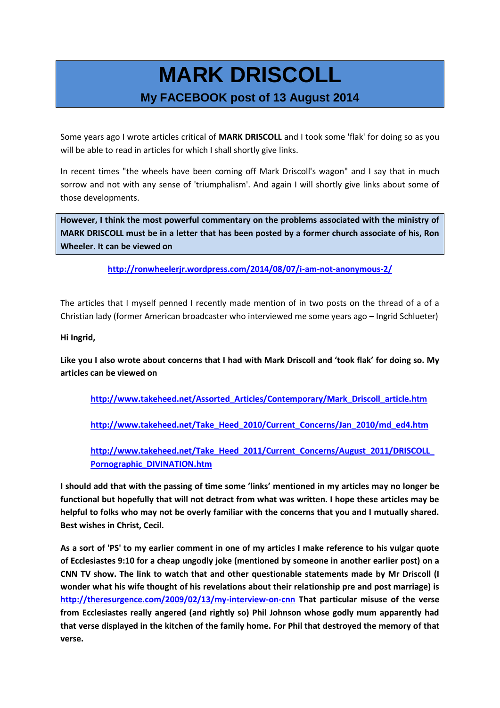## **MARK DRISCOLL My FACEBOOK post of 13 August 2014**

Some years ago I wrote articles critical of **MARK DRISCOLL** and I took some 'flak' for doing so as you will be able to read in articles for which I shall shortly give links.

In recent times "the wheels have been coming off Mark Driscoll's wagon" and I say that in much sorrow and not with any sense of 'triumphalism'. And again I will shortly give links about some of those developments.

**However, I think the most powerful commentary on the problems associated with the ministry of MARK DRISCOLL must be in a letter that has been posted by a former church associate of his, Ron Wheeler. It can be viewed on**

**<http://ronwheelerjr.wordpress.com/2014/08/07/i-am-not-anonymous-2/>**

The articles that I myself penned I recently made mention of in two posts on the thread of a of a Christian lady (former American broadcaster who interviewed me some years ago – Ingrid Schlueter)

**Hi Ingrid,**

**Like you I also wrote about concerns that I had with Mark Driscoll and 'took flak' for doing so. My articles can be viewed on**

**[http://www.takeheed.net/Assorted\\_Articles/Contemporary/Mark\\_Driscoll\\_article.htm](http://www.takeheed.net/Assorted_Articles/Contemporary/Mark_Driscoll_article.htm)**

**[http://www.takeheed.net/Take\\_Heed\\_2010/Current\\_Concerns/Jan\\_2010/md\\_ed4.htm](http://www.takeheed.net/Take_Heed_2010/Current_Concerns/Jan_2010/md_ed4.htm)**

**[http://www.takeheed.net/Take\\_Heed\\_2011/Current\\_Concerns/August\\_2011/DRISCOLL\\_](http://www.takeheed.net/Take_Heed_2011/Current_Concerns/August_2011/DRISCOLL_Pornographic_DIVINATION.htm) [Pornographic\\_DIVINATION.htm](http://www.takeheed.net/Take_Heed_2011/Current_Concerns/August_2011/DRISCOLL_Pornographic_DIVINATION.htm)**

**I should add that with the passing of time some 'links' mentioned in my articles may no longer be functional but hopefully that will not detract from what was written. I hope these articles may be helpful to folks who may not be overly familiar with the concerns that you and I mutually shared. Best wishes in Christ, Cecil.**

**As a sort of 'PS' to my earlier comment in one of my articles I make reference to his vulgar quote of Ecclesiastes 9:10 for a cheap ungodly joke (mentioned by someone in another earlier post) on a CNN TV show. The link to watch that and other questionable statements made by Mr Driscoll (I wonder what his wife thought of his revelations about their relationship pre and post marriage) is <http://theresurgence.com/2009/02/13/my-interview-on-cnn> That particular misuse of the verse from Ecclesiastes really angered (and rightly so) Phil Johnson whose godly mum apparently had that verse displayed in the kitchen of the family home. For Phil that destroyed the memory of that verse.**